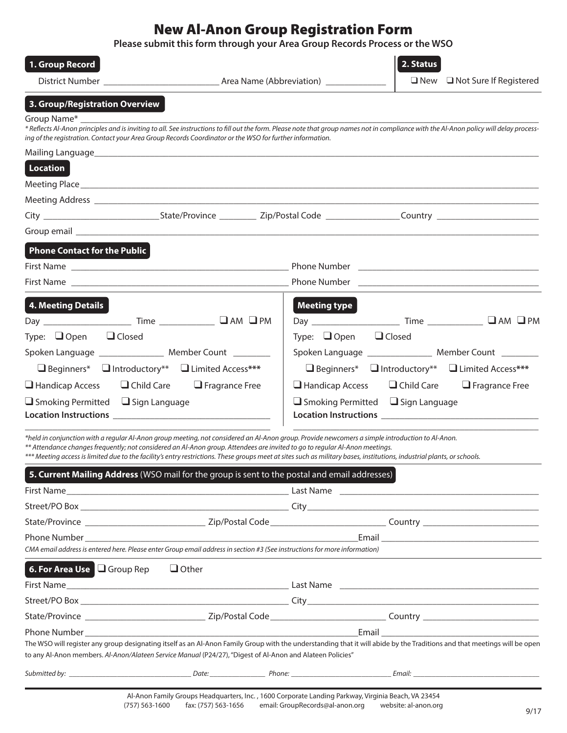# New Al-Anon Group Registration Form

**Please submit this form through your Area Group Records Process or the WSO**

| 1. Group Record                                                                                                                                                                                                                                                                                        |                                               | 2. Status                                                                                                                                                                               |
|--------------------------------------------------------------------------------------------------------------------------------------------------------------------------------------------------------------------------------------------------------------------------------------------------------|-----------------------------------------------|-----------------------------------------------------------------------------------------------------------------------------------------------------------------------------------------|
|                                                                                                                                                                                                                                                                                                        |                                               | $\Box$ New $\Box$ Not Sure If Registered                                                                                                                                                |
| 3. Group/Registration Overview                                                                                                                                                                                                                                                                         |                                               |                                                                                                                                                                                         |
| Group Name*                                                                                                                                                                                                                                                                                            |                                               |                                                                                                                                                                                         |
| ing of the registration. Contact your Area Group Records Coordinator or the WSO for further information.                                                                                                                                                                                               |                                               | * Reflects Al-Anon principles and is inviting to all. See instructions to fill out the form. Please note that group names not in compliance with the Al-Anon policy will delay process- |
|                                                                                                                                                                                                                                                                                                        |                                               |                                                                                                                                                                                         |
| Location                                                                                                                                                                                                                                                                                               |                                               |                                                                                                                                                                                         |
|                                                                                                                                                                                                                                                                                                        |                                               |                                                                                                                                                                                         |
|                                                                                                                                                                                                                                                                                                        |                                               |                                                                                                                                                                                         |
|                                                                                                                                                                                                                                                                                                        |                                               | City ________________________________State/Province ____________ Zip/Postal Code ________________________Country ______________________                                                 |
|                                                                                                                                                                                                                                                                                                        |                                               |                                                                                                                                                                                         |
| <b>Phone Contact for the Public</b>                                                                                                                                                                                                                                                                    |                                               |                                                                                                                                                                                         |
|                                                                                                                                                                                                                                                                                                        |                                               |                                                                                                                                                                                         |
|                                                                                                                                                                                                                                                                                                        |                                               |                                                                                                                                                                                         |
|                                                                                                                                                                                                                                                                                                        |                                               |                                                                                                                                                                                         |
| 4. Meeting Details                                                                                                                                                                                                                                                                                     | <b>Meeting type</b>                           |                                                                                                                                                                                         |
|                                                                                                                                                                                                                                                                                                        |                                               |                                                                                                                                                                                         |
| Type: $\Box$ Open $\Box$ Closed                                                                                                                                                                                                                                                                        | Type: $\Box$ Open $\Box$ Closed               |                                                                                                                                                                                         |
| Spoken Language _________________ Member Count ________                                                                                                                                                                                                                                                |                                               | Spoken Language ________________ Member Count ________                                                                                                                                  |
| □ Beginners* □ Introductory** □ Limited Access***                                                                                                                                                                                                                                                      |                                               | $\Box$ Beginners* $\Box$ Introductory** $\Box$ Limited Access***                                                                                                                        |
| $\Box$ Handicap Access $\Box$ Child Care $\Box$ Fragrance Free                                                                                                                                                                                                                                         |                                               | $\Box$ Handicap Access $\Box$ Child Care $\Box$ Fragrance Free                                                                                                                          |
| $\Box$ Smoking Permitted $\Box$ Sign Language                                                                                                                                                                                                                                                          | $\Box$ Smoking Permitted $\Box$ Sign Language |                                                                                                                                                                                         |
|                                                                                                                                                                                                                                                                                                        |                                               |                                                                                                                                                                                         |
| *held in conjunction with a regular Al-Anon group meeting, not considered an Al-Anon group. Provide newcomers a simple introduction to Al-Anon.                                                                                                                                                        |                                               |                                                                                                                                                                                         |
| ** Attendance changes frequently; not considered an Al-Anon group. Attendees are invited to go to regular Al-Anon meetings.<br>*** Meeting access is limited due to the facility's entry restrictions. These groups meet at sites such as military bases, institutions, industrial plants, or schools. |                                               |                                                                                                                                                                                         |
| 5. Current Mailing Address (WSO mail for the group is sent to the postal and email addresses)                                                                                                                                                                                                          |                                               |                                                                                                                                                                                         |
|                                                                                                                                                                                                                                                                                                        |                                               |                                                                                                                                                                                         |
|                                                                                                                                                                                                                                                                                                        |                                               |                                                                                                                                                                                         |
|                                                                                                                                                                                                                                                                                                        |                                               |                                                                                                                                                                                         |
|                                                                                                                                                                                                                                                                                                        |                                               |                                                                                                                                                                                         |
| CMA email address is entered here. Please enter Group email address in section #3 (See instructions for more information)                                                                                                                                                                              |                                               |                                                                                                                                                                                         |
| <b>6. For Area Use   Group Rep   Other</b>                                                                                                                                                                                                                                                             |                                               |                                                                                                                                                                                         |
|                                                                                                                                                                                                                                                                                                        |                                               |                                                                                                                                                                                         |
|                                                                                                                                                                                                                                                                                                        |                                               |                                                                                                                                                                                         |
|                                                                                                                                                                                                                                                                                                        |                                               |                                                                                                                                                                                         |
|                                                                                                                                                                                                                                                                                                        |                                               | Email and the contract of the contract of the contract of the contract of the contract of the contract of the                                                                           |
| "to any Al-Anon members. Al-Anon/Alateen Service Manual (P24/27), "Digest of Al-Anon and Alateen Policies                                                                                                                                                                                              |                                               | The WSO will register any group designating itself as an Al-Anon Family Group with the understanding that it will abide by the Traditions and that meetings will be open                |
|                                                                                                                                                                                                                                                                                                        |                                               |                                                                                                                                                                                         |
|                                                                                                                                                                                                                                                                                                        |                                               |                                                                                                                                                                                         |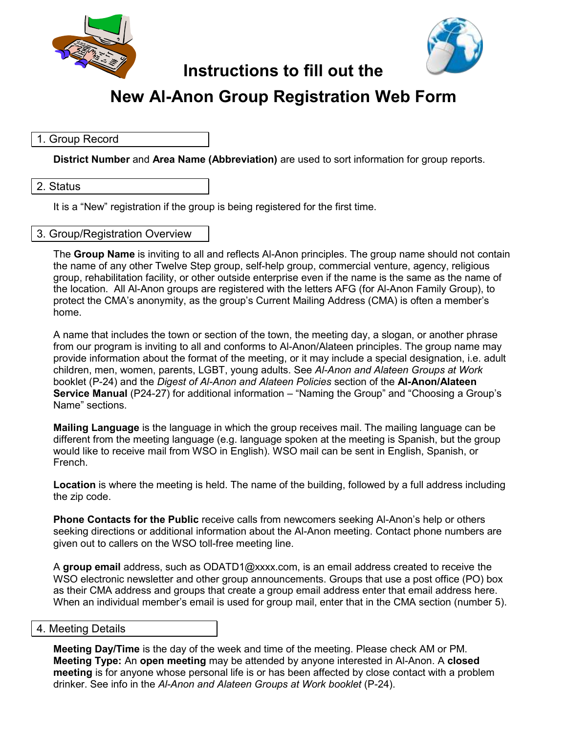



# **Instructions to fill out the**

# **New Al-Anon Group Registration Web Form**

# 1. Group Record

**District Number** and **Area Name (Abbreviation)** are used to sort information for group reports.

#### 2. Status

It is a "New" registration if the group is being registered for the first time.

# 3. Group/Registration Overview

The **Group Name** is inviting to all and reflects Al-Anon principles. The group name should not contain the name of any other Twelve Step group, self-help group, commercial venture, agency, religious group, rehabilitation facility, or other outside enterprise even if the name is the same as the name of the location. All Al-Anon groups are registered with the letters AFG (for Al-Anon Family Group), to protect the CMA's anonymity, as the group's Current Mailing Address (CMA) is often a member's home.

A name that includes the town or section of the town, the meeting day, a slogan, or another phrase from our program is inviting to all and conforms to Al-Anon/Alateen principles. The group name may provide information about the format of the meeting, or it may include a special designation, i.e. adult children, men, women, parents, LGBT, young adults. See *Al-Anon and Alateen Groups at Work*  booklet (P-24) and the *Digest of Al-Anon and Alateen Policies* section of the **Al-Anon/Alateen Service Manual** (P24-27) for additional information – "Naming the Group" and "Choosing a Group's Name" sections.

**Mailing Language** is the language in which the group receives mail. The mailing language can be different from the meeting language (e.g. language spoken at the meeting is Spanish, but the group would like to receive mail from WSO in English). WSO mail can be sent in English, Spanish, or French.

**Location** is where the meeting is held. The name of the building, followed by a full address including the zip code.

**Phone Contacts for the Public** receive calls from newcomers seeking Al-Anon's help or others seeking directions or additional information about the Al-Anon meeting. Contact phone numbers are given out to callers on the WSO toll-free meeting line.

A **group email** address, such as ODATD1@xxxx.com, is an email address created to receive the WSO electronic newsletter and other group announcements. Groups that use a post office (PO) box as their CMA address and groups that create a group email address enter that email address here. When an individual member's email is used for group mail, enter that in the CMA section (number 5).

#### 4. Meeting Details

**Meeting Day/Time** is the day of the week and time of the meeting. Please check AM or PM. **Meeting Type:** An **open meeting** may be attended by anyone interested in Al-Anon. A **closed meeting** is for anyone whose personal life is or has been affected by close contact with a problem drinker. See info in the *Al-Anon and Alateen Groups at Work booklet* (P-24).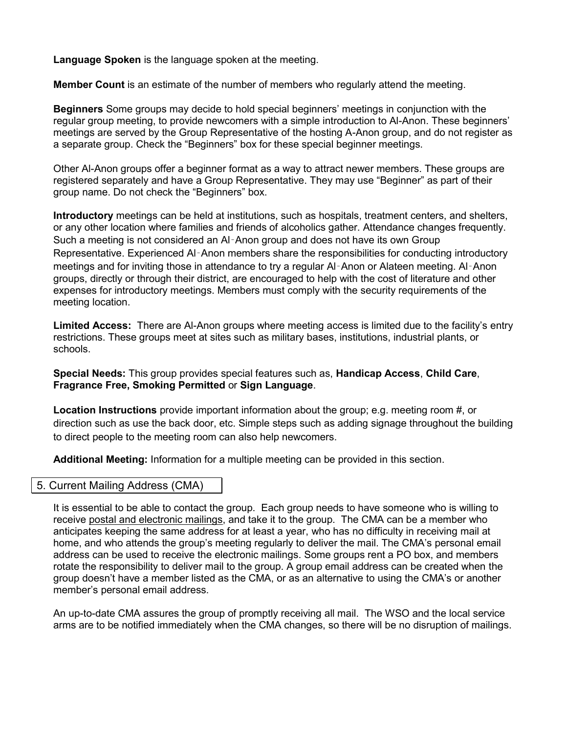**Language Spoken** is the language spoken at the meeting.

**Member Count** is an estimate of the number of members who regularly attend the meeting.

**Beginners** Some groups may decide to hold special beginners' meetings in conjunction with the regular group meeting, to provide newcomers with a simple introduction to Al-Anon. These beginners' meetings are served by the Group Representative of the hosting A-Anon group, and do not register as a separate group. Check the "Beginners" box for these special beginner meetings.

Other Al-Anon groups offer a beginner format as a way to attract newer members. These groups are registered separately and have a Group Representative. They may use "Beginner" as part of their group name. Do not check the "Beginners" box.

**Introductory** meetings can be held at institutions, such as hospitals, treatment centers, and shelters, or any other location where families and friends of alcoholics gather. Attendance changes frequently. Such a meeting is not considered an Al‑Anon group and does not have its own Group Representative. Experienced Al-Anon members share the responsibilities for conducting introductory meetings and for inviting those in attendance to try a regular Al‑Anon or Alateen meeting. Al‑Anon groups, directly or through their district, are encouraged to help with the cost of literature and other expenses for introductory meetings. Members must comply with the security requirements of the meeting location.

**Limited Access:** There are Al-Anon groups where meeting access is limited due to the facility's entry restrictions. These groups meet at sites such as military bases, institutions, industrial plants, or schools.

**Special Needs:** This group provides special features such as, **Handicap Access**, **Child Care**, **Fragrance Free, Smoking Permitted** or **Sign Language**.

**Location Instructions** provide important information about the group; e.g. meeting room #, or direction such as use the back door, etc. Simple steps such as adding signage throughout the building to direct people to the meeting room can also help newcomers.

**Additional Meeting:** Information for a multiple meeting can be provided in this section.

# 5. Current Mailing Address (CMA)

It is essential to be able to contact the group. Each group needs to have someone who is willing to receive postal and electronic mailings, and take it to the group. The CMA can be a member who anticipates keeping the same address for at least a year, who has no difficulty in receiving mail at home, and who attends the group's meeting regularly to deliver the mail. The CMA's personal email address can be used to receive the electronic mailings. Some groups rent a PO box, and members rotate the responsibility to deliver mail to the group. A group email address can be created when the group doesn't have a member listed as the CMA, or as an alternative to using the CMA's or another member's personal email address.

An up-to-date CMA assures the group of promptly receiving all mail. The WSO and the local service arms are to be notified immediately when the CMA changes, so there will be no disruption of mailings.